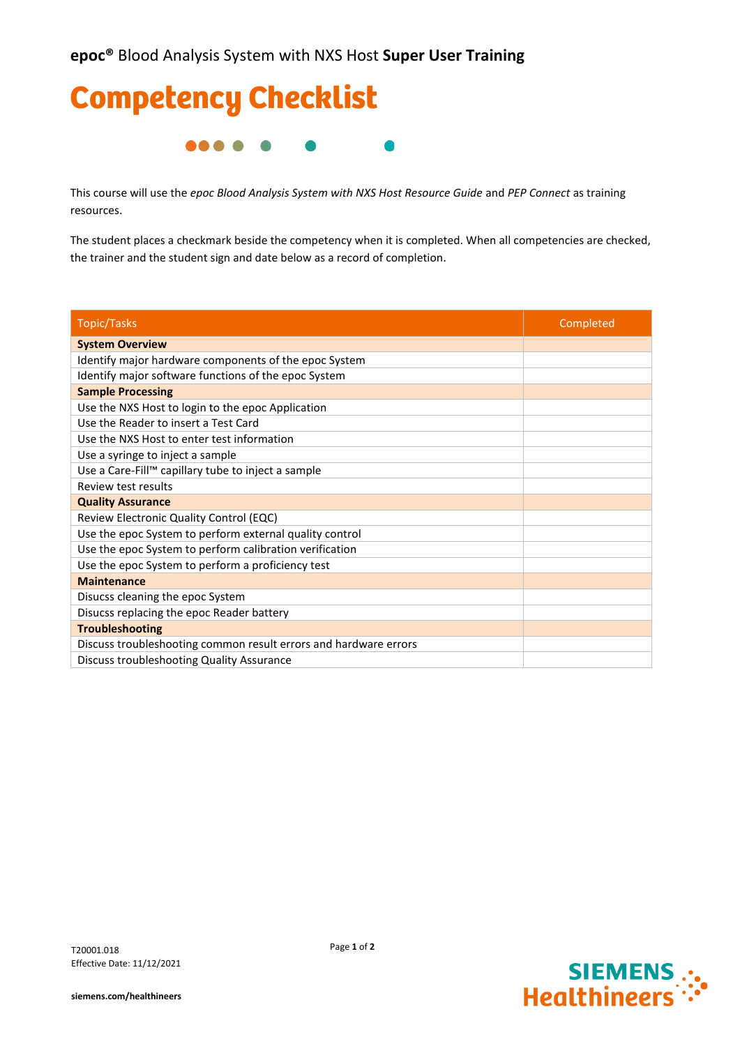

This course will use the *epoc Blood Analysis System with NXS Host Resource Guide* and *PEP Connect* as training resources.

The student places a checkmark beside the competency when it is completed. When all competencies are checked, the trainer and the student sign and date below as a record of completion.

| <b>Topic/Tasks</b>                                               | Completed |
|------------------------------------------------------------------|-----------|
| <b>System Overview</b>                                           |           |
| Identify major hardware components of the epoc System            |           |
| Identify major software functions of the epoc System             |           |
| <b>Sample Processing</b>                                         |           |
| Use the NXS Host to login to the epoc Application                |           |
| Use the Reader to insert a Test Card                             |           |
| Use the NXS Host to enter test information                       |           |
| Use a syringe to inject a sample                                 |           |
| Use a Care-Fill™ capillary tube to inject a sample               |           |
| Review test results                                              |           |
| <b>Quality Assurance</b>                                         |           |
| Review Electronic Quality Control (EQC)                          |           |
| Use the epoc System to perform external quality control          |           |
| Use the epoc System to perform calibration verification          |           |
| Use the epoc System to perform a proficiency test                |           |
| <b>Maintenance</b>                                               |           |
| Disucss cleaning the epoc System                                 |           |
| Disucss replacing the epoc Reader battery                        |           |
| <b>Troubleshooting</b>                                           |           |
| Discuss troubleshooting common result errors and hardware errors |           |
| Discuss troubleshooting Quality Assurance                        |           |